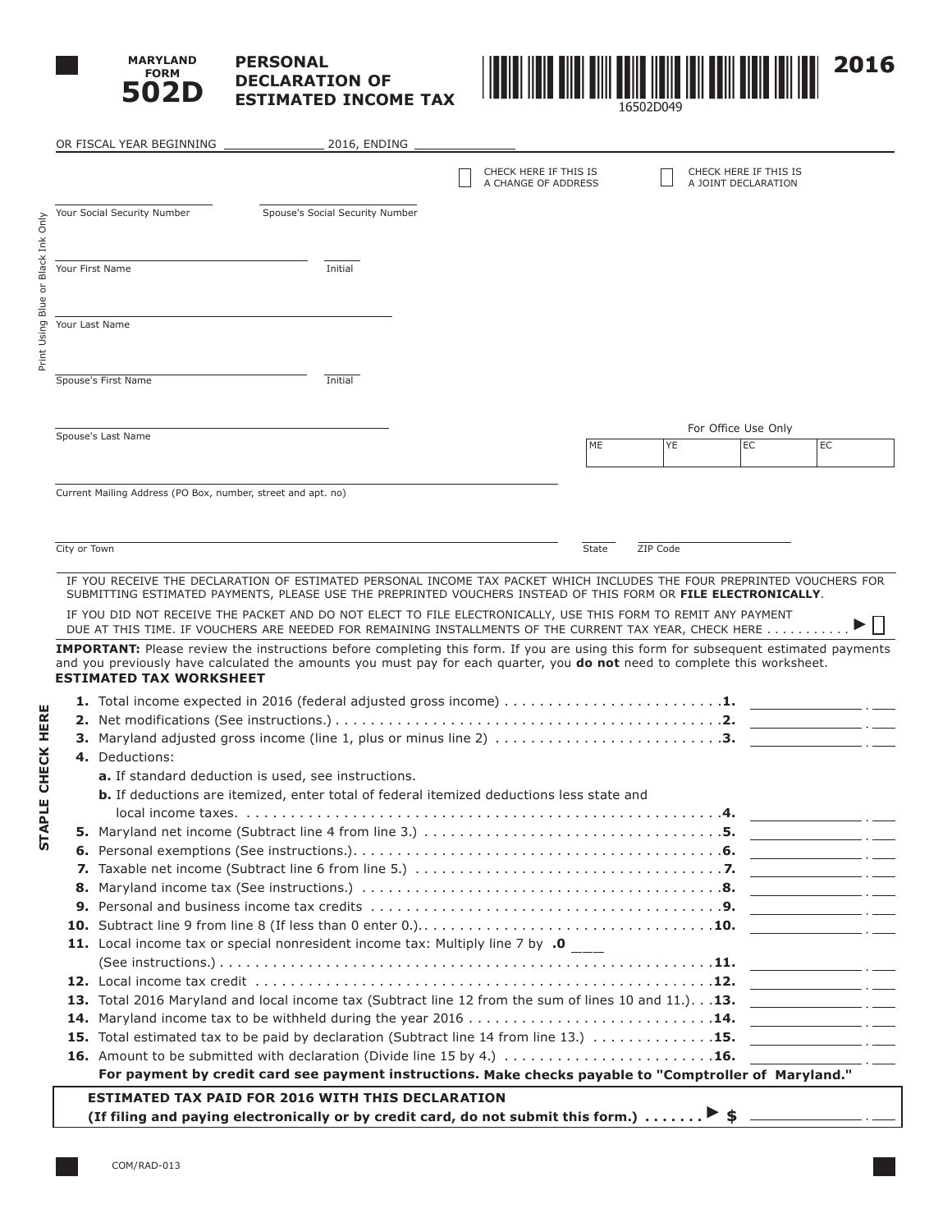

# **PERSONAL DECLARATION OF ESTIMATED INCOME TAX**



|                 | OR FISCAL YEAR BEGINNING                                     | 2016, ENDING                                                                                                                                                                                                             |                                              |       |          |                                              |                                                                                                                       |
|-----------------|--------------------------------------------------------------|--------------------------------------------------------------------------------------------------------------------------------------------------------------------------------------------------------------------------|----------------------------------------------|-------|----------|----------------------------------------------|-----------------------------------------------------------------------------------------------------------------------|
|                 |                                                              |                                                                                                                                                                                                                          | CHECK HERE IF THIS IS<br>A CHANGE OF ADDRESS |       |          | CHECK HERE IF THIS IS<br>A JOINT DECLARATION |                                                                                                                       |
|                 | Your Social Security Number                                  | Spouse's Social Security Number                                                                                                                                                                                          |                                              |       |          |                                              |                                                                                                                       |
|                 |                                                              |                                                                                                                                                                                                                          |                                              |       |          |                                              |                                                                                                                       |
|                 |                                                              |                                                                                                                                                                                                                          |                                              |       |          |                                              |                                                                                                                       |
| Your First Name |                                                              | Initial                                                                                                                                                                                                                  |                                              |       |          |                                              |                                                                                                                       |
|                 |                                                              |                                                                                                                                                                                                                          |                                              |       |          |                                              |                                                                                                                       |
|                 |                                                              |                                                                                                                                                                                                                          |                                              |       |          |                                              |                                                                                                                       |
| Your Last Name  |                                                              |                                                                                                                                                                                                                          |                                              |       |          |                                              |                                                                                                                       |
|                 |                                                              |                                                                                                                                                                                                                          |                                              |       |          |                                              |                                                                                                                       |
|                 | Spouse's First Name                                          | Initial                                                                                                                                                                                                                  |                                              |       |          |                                              |                                                                                                                       |
|                 |                                                              |                                                                                                                                                                                                                          |                                              |       |          |                                              |                                                                                                                       |
|                 |                                                              |                                                                                                                                                                                                                          |                                              |       |          |                                              |                                                                                                                       |
|                 | Spouse's Last Name                                           |                                                                                                                                                                                                                          |                                              | ME    | YE       | For Office Use Only<br>EC                    | EC                                                                                                                    |
|                 |                                                              |                                                                                                                                                                                                                          |                                              |       |          |                                              |                                                                                                                       |
|                 |                                                              |                                                                                                                                                                                                                          |                                              |       |          |                                              |                                                                                                                       |
|                 | Current Mailing Address (PO Box, number, street and apt. no) |                                                                                                                                                                                                                          |                                              |       |          |                                              |                                                                                                                       |
|                 |                                                              |                                                                                                                                                                                                                          |                                              |       |          |                                              |                                                                                                                       |
| City or Town    |                                                              |                                                                                                                                                                                                                          |                                              | State | ZIP Code |                                              |                                                                                                                       |
|                 |                                                              |                                                                                                                                                                                                                          |                                              |       |          |                                              |                                                                                                                       |
|                 |                                                              | IF YOU RECEIVE THE DECLARATION OF ESTIMATED PERSONAL INCOME TAX PACKET WHICH INCLUDES THE FOUR PREPRINTED VOUCHERS FOR                                                                                                   |                                              |       |          |                                              |                                                                                                                       |
|                 |                                                              | SUBMITTING ESTIMATED PAYMENTS, PLEASE USE THE PREPRINTED VOUCHERS INSTEAD OF THIS FORM OR FILE ELECTRONICALLY.                                                                                                           |                                              |       |          |                                              |                                                                                                                       |
|                 |                                                              | IF YOU DID NOT RECEIVE THE PACKET AND DO NOT ELECT TO FILE ELECTRONICALLY, USE THIS FORM TO REMIT ANY PAYMENT<br>DUE AT THIS TIME. IF VOUCHERS ARE NEEDED FOR REMAINING INSTALLMENTS OF THE CURRENT TAX YEAR, CHECK HERE |                                              |       |          |                                              |                                                                                                                       |
|                 |                                                              | <b>IMPORTANT:</b> Please review the instructions before completing this form. If you are using this form for subsequent estimated payments                                                                               |                                              |       |          |                                              |                                                                                                                       |
|                 | <b>ESTIMATED TAX WORKSHEET</b>                               | and you previously have calculated the amounts you must pay for each quarter, you do not need to complete this worksheet.                                                                                                |                                              |       |          |                                              |                                                                                                                       |
|                 |                                                              |                                                                                                                                                                                                                          |                                              |       |          |                                              |                                                                                                                       |
|                 |                                                              |                                                                                                                                                                                                                          |                                              |       |          |                                              |                                                                                                                       |
|                 |                                                              | 3. Maryland adjusted gross income (line 1, plus or minus line 2) 3.                                                                                                                                                      |                                              |       |          |                                              |                                                                                                                       |
|                 | 4. Deductions:                                               |                                                                                                                                                                                                                          |                                              |       |          |                                              |                                                                                                                       |
|                 | <b>a.</b> If standard deduction is used, see instructions.   |                                                                                                                                                                                                                          |                                              |       |          |                                              |                                                                                                                       |
|                 |                                                              | <b>b.</b> If deductions are itemized, enter total of federal itemized deductions less state and                                                                                                                          |                                              |       |          |                                              |                                                                                                                       |
|                 |                                                              | $local income taxes.$                                                                                                                                                                                                    |                                              |       |          | .4.                                          |                                                                                                                       |
|                 |                                                              |                                                                                                                                                                                                                          |                                              |       |          |                                              | <u> 2000 - Jan James James III, martin politik (</u>                                                                  |
|                 |                                                              |                                                                                                                                                                                                                          |                                              |       |          |                                              |                                                                                                                       |
|                 |                                                              |                                                                                                                                                                                                                          |                                              |       |          |                                              |                                                                                                                       |
|                 |                                                              |                                                                                                                                                                                                                          |                                              |       |          |                                              |                                                                                                                       |
|                 |                                                              |                                                                                                                                                                                                                          |                                              |       |          |                                              |                                                                                                                       |
|                 |                                                              | 11. Local income tax or special nonresident income tax: Multiply line 7 by .0                                                                                                                                            |                                              |       |          |                                              | <u> 1990 - Jan Barnett, politik eta politik eta politik eta politik eta politik eta politik eta politik eta polit</u> |
|                 |                                                              |                                                                                                                                                                                                                          |                                              |       |          |                                              |                                                                                                                       |
|                 |                                                              |                                                                                                                                                                                                                          |                                              |       |          |                                              |                                                                                                                       |
|                 |                                                              | 13. Total 2016 Maryland and local income tax (Subtract line 12 from the sum of lines 10 and 11.). 13.                                                                                                                    |                                              |       |          |                                              |                                                                                                                       |
|                 |                                                              |                                                                                                                                                                                                                          |                                              |       |          |                                              |                                                                                                                       |
|                 |                                                              | 15. Total estimated tax to be paid by declaration (Subtract line 14 from line 13.) 15.                                                                                                                                   |                                              |       |          |                                              | <u> 1990 - John Stein, amerikansk politiker</u>                                                                       |
|                 |                                                              |                                                                                                                                                                                                                          |                                              |       |          |                                              | $\overline{\phantom{a}}$ . $\overline{\phantom{a}}$                                                                   |
|                 |                                                              | For payment by credit card see payment instructions. Make checks payable to "Comptroller of Maryland."                                                                                                                   |                                              |       |          |                                              |                                                                                                                       |
|                 |                                                              | <b>ESTIMATED TAX PAID FOR 2016 WITH THIS DECLARATION</b>                                                                                                                                                                 |                                              |       |          |                                              |                                                                                                                       |
|                 |                                                              | (If filing and paying electronically or by credit card, do not submit this form.) $\triangleright$ \$                                                                                                                    |                                              |       |          |                                              |                                                                                                                       |

**STAPLE CHECK HERE**

STAPLE CHECK HERE

Print Using Blue or Black Ink Only

Print Using Blue or Black Ink Only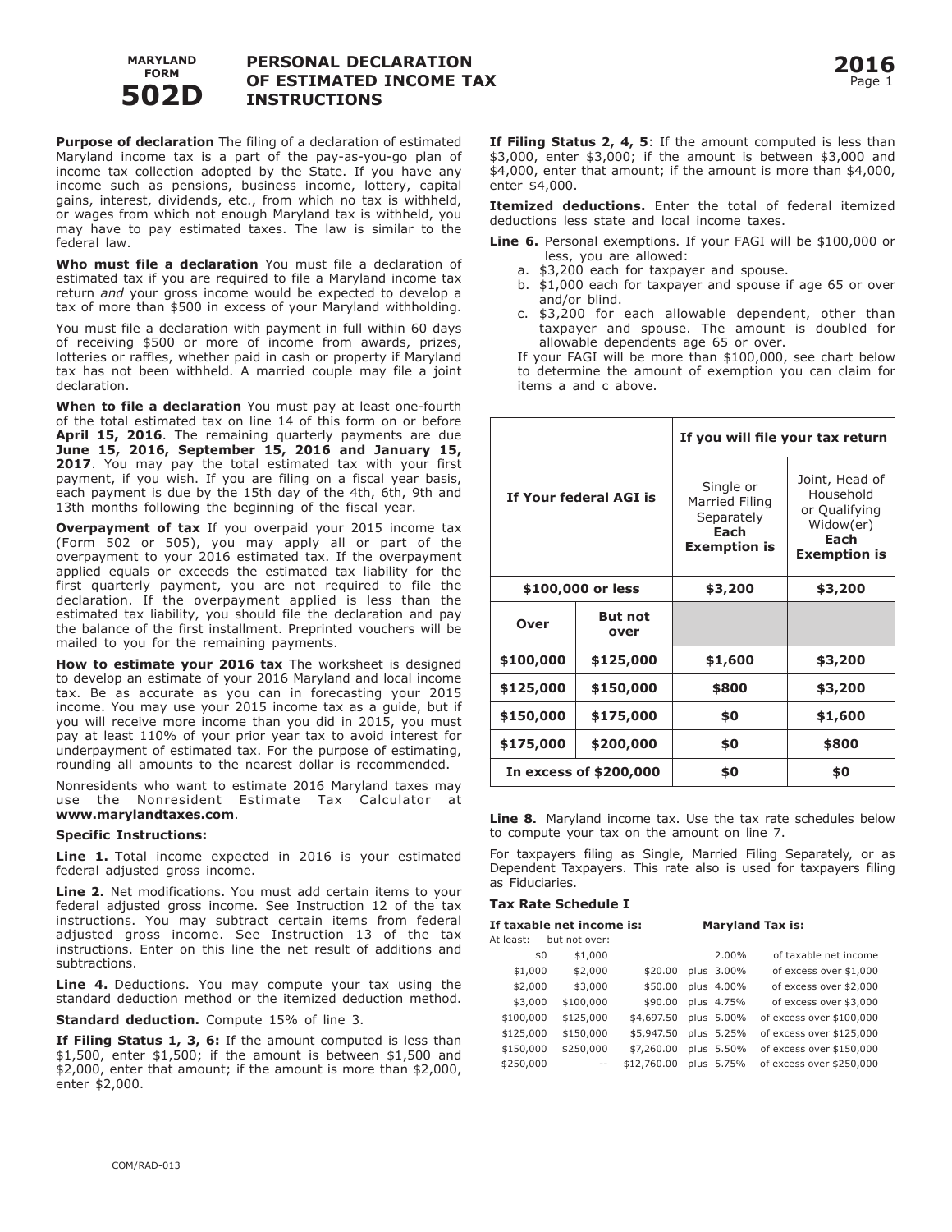

## **PERSONAL DECLARATION OF ESTIMATED INCOME TAX INSTRUCTIONS**

**Purpose of declaration** The filing of a declaration of estimated Maryland income tax is a part of the pay-as-you-go plan of income tax collection adopted by the State. If you have any income such as pensions, business income, lottery, capital gains, interest, dividends, etc., from which no tax is withheld, or wages from which not enough Maryland tax is withheld, you may have to pay estimated taxes. The law is similar to the federal law.

**Who must file a declaration** You must file a declaration of estimated tax if you are required to file a Maryland income tax return *and* your gross income would be expected to develop a tax of more than \$500 in excess of your Maryland withholding.

You must file a declaration with payment in full within 60 days of receiving \$500 or more of income from awards, prizes, lotteries or raffles, whether paid in cash or property if Maryland tax has not been withheld. A married couple may file a joint declaration.

**When to file a declaration** You must pay at least one-fourth of the total estimated tax on line 14 of this form on or before **April 15, 2016**. The remaining quarterly payments are due **June 15, 2016, September 15, 2016 and January 15, 2017**. You may pay the total estimated tax with your first payment, if you wish. If you are filing on a fiscal year basis, each payment is due by the 15th day of the 4th, 6th, 9th and 13th months following the beginning of the fiscal year.

**Overpayment of tax** If you overpaid your 2015 income tax (Form 502 or 505), you may apply all or part of the overpayment to your 2016 estimated tax. If the overpayment applied equals or exceeds the estimated tax liability for the first quarterly payment, you are not required to file the declaration. If the overpayment applied is less than the estimated tax liability, you should file the declaration and pay the balance of the first installment. Preprinted vouchers will be mailed to you for the remaining payments.

**How to estimate your 2016 tax** The worksheet is designed to develop an estimate of your 2016 Maryland and local income tax. Be as accurate as you can in forecasting your 2015 income. You may use your 2015 income tax as a guide, but if you will receive more income than you did in 2015, you must pay at least 110% of your prior year tax to avoid interest for underpayment of estimated tax. For the purpose of estimating, rounding all amounts to the nearest dollar is recommended.

Nonresidents who want to estimate 2016 Maryland taxes may use the Nonresident Estimate Tax Calculator at **www.marylandtaxes.com**.

#### **Specific Instructions:**

**Line 1.** Total income expected in 2016 is your estimated federal adjusted gross income.

**Line 2.** Net modifications. You must add certain items to your federal adjusted gross income. See Instruction 12 of the tax instructions. You may subtract certain items from federal adjusted gross income. See Instruction 13 of the tax instructions. Enter on this line the net result of additions and subtractions.

**Line 4.** Deductions. You may compute your tax using the standard deduction method or the itemized deduction method.

**Standard deduction.** Compute 15% of line 3.

**If Filing Status 1, 3, 6:** If the amount computed is less than \$1,500, enter \$1,500; if the amount is between \$1,500 and \$2,000, enter that amount; if the amount is more than \$2,000, enter \$2,000.

**If Filing Status 2, 4, 5**: If the amount computed is less than \$3,000, enter \$3,000; if the amount is between \$3,000 and \$4,000, enter that amount; if the amount is more than \$4,000, enter \$4,000.

**Itemized deductions.** Enter the total of federal itemized deductions less state and local income taxes.

**Line 6.** Personal exemptions. If your FAGI will be \$100,000 or less, you are allowed:

- a. \$3,200 each for taxpayer and spouse.
- b. \$1,000 each for taxpayer and spouse if age 65 or over and/or blind.
- c. \$3,200 for each allowable dependent, other than taxpayer and spouse. The amount is doubled for allowable dependents age 65 or over.

 If your FAGI will be more than \$100,000, see chart below to determine the amount of exemption you can claim for items a and c above.

|                        |                        | If you will file your tax return                                         |                                                                                          |  |  |
|------------------------|------------------------|--------------------------------------------------------------------------|------------------------------------------------------------------------------------------|--|--|
|                        | If Your federal AGI is | Single or<br>Married Filing<br>Separately<br>Each<br><b>Exemption is</b> | Joint, Head of<br>Household<br>or Qualifying<br>Widow(er)<br>Each<br><b>Exemption is</b> |  |  |
|                        | \$100,000 or less      | \$3,200                                                                  | \$3,200                                                                                  |  |  |
| Over                   | <b>But not</b><br>over |                                                                          |                                                                                          |  |  |
| \$100,000              | \$125,000              | \$1,600                                                                  | \$3,200                                                                                  |  |  |
| \$125,000              | \$150,000              | \$800                                                                    | \$3,200                                                                                  |  |  |
| \$150,000              | \$175,000              | \$0                                                                      | \$1,600                                                                                  |  |  |
| \$175,000<br>\$200,000 |                        | \$0                                                                      | \$800                                                                                    |  |  |
|                        | In excess of \$200,000 | \$0                                                                      | \$0                                                                                      |  |  |

**Line 8.** Maryland income tax. Use the tax rate schedules below to compute your tax on the amount on line 7.

For taxpayers filing as Single, Married Filing Separately, or as Dependent Taxpayers. This rate also is used for taxpayers filing as Fiduciaries.

#### **Tax Rate Schedule I**

| If taxable net income is: |     |               |             | <b>Maryland Tax is:</b> |            |                          |  |
|---------------------------|-----|---------------|-------------|-------------------------|------------|--------------------------|--|
| At least:                 |     | but not over: |             |                         |            |                          |  |
|                           | \$0 | \$1,000       |             |                         | 2.00%      | of taxable net income    |  |
| \$1,000                   |     | \$2,000       | \$20.00     |                         | plus 3.00% | of excess over \$1,000   |  |
| \$2,000                   |     | \$3,000       | \$50.00     |                         | plus 4.00% | of excess over \$2,000   |  |
| \$3,000                   |     | \$100,000     | \$90.00     |                         | plus 4.75% | of excess over \$3,000   |  |
| \$100,000                 |     | \$125,000     | \$4,697.50  |                         | plus 5.00% | of excess over \$100,000 |  |
| \$125,000                 |     | \$150,000     | \$5,947.50  |                         | plus 5.25% | of excess over \$125,000 |  |
| \$150,000                 |     | \$250,000     | \$7,260,00  |                         | plus 5.50% | of excess over \$150,000 |  |
| \$250,000                 |     | $=$ $-$       | \$12,760.00 |                         | plus 5.75% | of excess over \$250,000 |  |